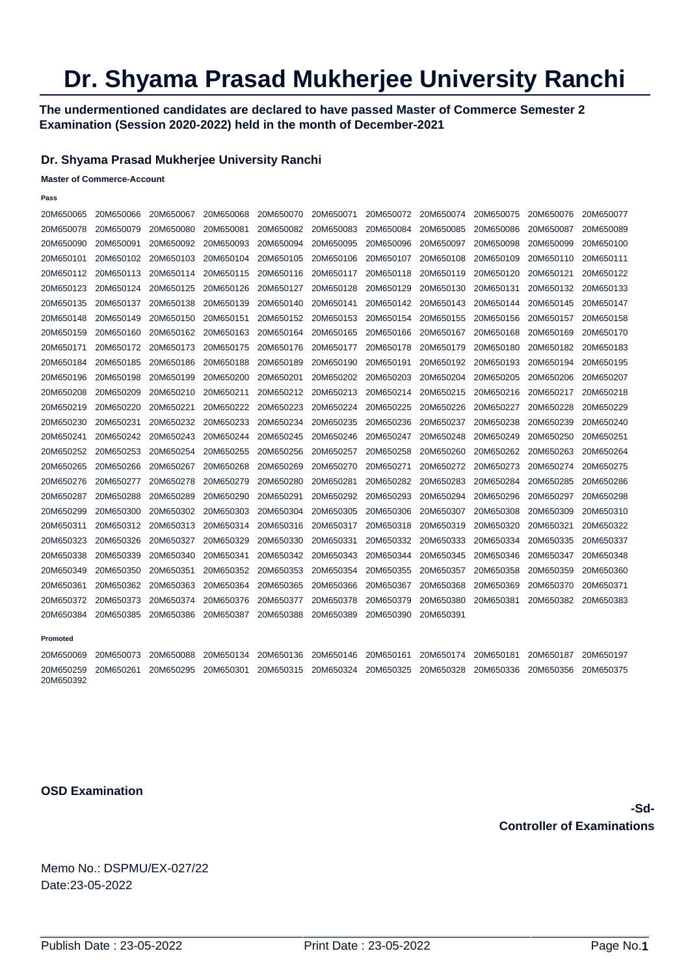# **Dr. Shyama Prasad Mukherjee University Ranchi**

### **The undermentioned candidates are declared to have passed Master of Commerce Semester 2 Examination (Session 2020-2022) held in the month of December-2021**

### **Dr. Shyama Prasad Mukherjee University Ranchi**

#### **Master of Commerce-Account**

| ۰.<br>---- |  |
|------------|--|
|            |  |

| 20M650065              | 20M650066 | 20M650067 | 20M650068 | 20M650070 | 20M650071 | 20M650072 | 20M650074 | 20M650075 | 20M650076 | 20M650077 |
|------------------------|-----------|-----------|-----------|-----------|-----------|-----------|-----------|-----------|-----------|-----------|
| 20M650078              | 20M650079 | 20M650080 | 20M650081 | 20M650082 | 20M650083 | 20M650084 | 20M650085 | 20M650086 | 20M650087 | 20M650089 |
| 20M650090              | 20M650091 | 20M650092 | 20M650093 | 20M650094 | 20M650095 | 20M650096 | 20M650097 | 20M650098 | 20M650099 | 20M650100 |
| 20M650101              | 20M650102 | 20M650103 | 20M650104 | 20M650105 | 20M650106 | 20M650107 | 20M650108 | 20M650109 | 20M650110 | 20M650111 |
| 20M650112              | 20M650113 | 20M650114 | 20M650115 | 20M650116 | 20M650117 | 20M650118 | 20M650119 | 20M650120 | 20M650121 | 20M650122 |
| 20M650123              | 20M650124 | 20M650125 | 20M650126 | 20M650127 | 20M650128 | 20M650129 | 20M650130 | 20M650131 | 20M650132 | 20M650133 |
| 20M650135              | 20M650137 | 20M650138 | 20M650139 | 20M650140 | 20M650141 | 20M650142 | 20M650143 | 20M650144 | 20M650145 | 20M650147 |
| 20M650148              | 20M650149 | 20M650150 | 20M650151 | 20M650152 | 20M650153 | 20M650154 | 20M650155 | 20M650156 | 20M650157 | 20M650158 |
| 20M650159              | 20M650160 | 20M650162 | 20M650163 | 20M650164 | 20M650165 | 20M650166 | 20M650167 | 20M650168 | 20M650169 | 20M650170 |
| 20M650171              | 20M650172 | 20M650173 | 20M650175 | 20M650176 | 20M650177 | 20M650178 | 20M650179 | 20M650180 | 20M650182 | 20M650183 |
| 20M650184              | 20M650185 | 20M650186 | 20M650188 | 20M650189 | 20M650190 | 20M650191 | 20M650192 | 20M650193 | 20M650194 | 20M650195 |
| 20M650196              | 20M650198 | 20M650199 | 20M650200 | 20M650201 | 20M650202 | 20M650203 | 20M650204 | 20M650205 | 20M650206 | 20M650207 |
| 20M650208              | 20M650209 | 20M650210 | 20M650211 | 20M650212 | 20M650213 | 20M650214 | 20M650215 | 20M650216 | 20M650217 | 20M650218 |
| 20M650219              | 20M650220 | 20M650221 | 20M650222 | 20M650223 | 20M650224 | 20M650225 | 20M650226 | 20M650227 | 20M650228 | 20M650229 |
| 20M650230              | 20M650231 | 20M650232 | 20M650233 | 20M650234 | 20M650235 | 20M650236 | 20M650237 | 20M650238 | 20M650239 | 20M650240 |
| 20M650241              | 20M650242 | 20M650243 | 20M650244 | 20M650245 | 20M650246 | 20M650247 | 20M650248 | 20M650249 | 20M650250 | 20M650251 |
| 20M650252              | 20M650253 | 20M650254 | 20M650255 | 20M650256 | 20M650257 | 20M650258 | 20M650260 | 20M650262 | 20M650263 | 20M650264 |
| 20M650265              | 20M650266 | 20M650267 | 20M650268 | 20M650269 | 20M650270 | 20M650271 | 20M650272 | 20M650273 | 20M650274 | 20M650275 |
| 20M650276              | 20M650277 | 20M650278 | 20M650279 | 20M650280 | 20M650281 | 20M650282 | 20M650283 | 20M650284 | 20M650285 | 20M650286 |
| 20M650287              | 20M650288 | 20M650289 | 20M650290 | 20M650291 | 20M650292 | 20M650293 | 20M650294 | 20M650296 | 20M650297 | 20M650298 |
| 20M650299              | 20M650300 | 20M650302 | 20M650303 | 20M650304 | 20M650305 | 20M650306 | 20M650307 | 20M650308 | 20M650309 | 20M650310 |
| 20M650311              | 20M650312 | 20M650313 | 20M650314 | 20M650316 | 20M650317 | 20M650318 | 20M650319 | 20M650320 | 20M650321 | 20M650322 |
| 20M650323              | 20M650326 | 20M650327 | 20M650329 | 20M650330 | 20M650331 | 20M650332 | 20M650333 | 20M650334 | 20M650335 | 20M650337 |
| 20M650338              | 20M650339 | 20M650340 | 20M650341 | 20M650342 | 20M650343 | 20M650344 | 20M650345 | 20M650346 | 20M650347 | 20M650348 |
| 20M650349              | 20M650350 | 20M650351 | 20M650352 | 20M650353 | 20M650354 | 20M650355 | 20M650357 | 20M650358 | 20M650359 | 20M650360 |
| 20M650361              | 20M650362 | 20M650363 | 20M650364 | 20M650365 | 20M650366 | 20M650367 | 20M650368 | 20M650369 | 20M650370 | 20M650371 |
| 20M650372              | 20M650373 | 20M650374 | 20M650376 | 20M650377 | 20M650378 | 20M650379 | 20M650380 | 20M650381 | 20M650382 | 20M650383 |
| 20M650384              | 20M650385 | 20M650386 | 20M650387 | 20M650388 | 20M650389 | 20M650390 | 20M650391 |           |           |           |
|                        |           |           |           |           |           |           |           |           |           |           |
| Promoted               |           |           |           |           |           |           |           |           |           |           |
| 20M650069              | 20M650073 | 20M650088 | 20M650134 | 20M650136 | 20M650146 | 20M650161 | 20M650174 | 20M650181 | 20M650187 | 20M650197 |
| 20M650259<br>20M650392 | 20M650261 | 20M650295 | 20M650301 | 20M650315 | 20M650324 | 20M650325 | 20M650328 | 20M650336 | 20M650356 | 20M650375 |

**OSD Examination**

**-Sd-Controller of Examinations** 

Memo No.: DSPMU/EX-027/22 Date:23-05-2022